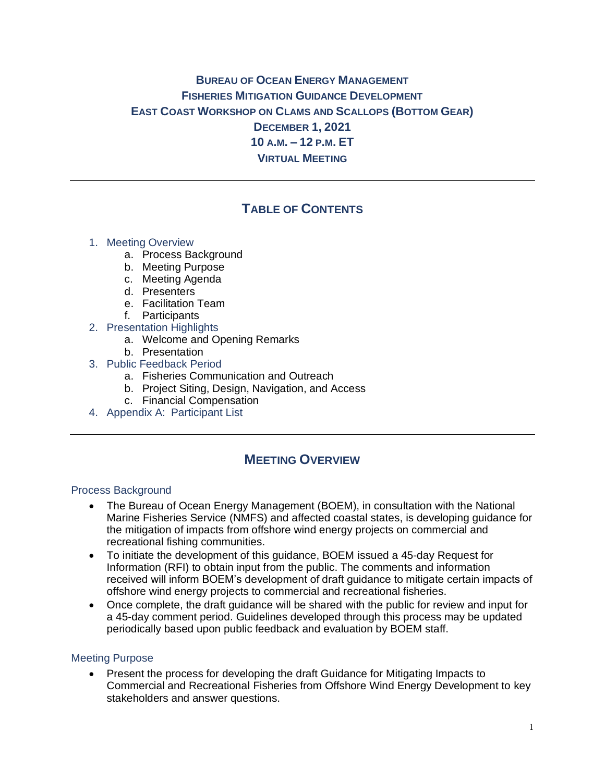# **BUREAU OF OCEAN ENERGY MANAGEMENT FISHERIES MITIGATION GUIDANCE DEVELOPMENT EAST COAST WORKSHOP ON CLAMS AND SCALLOPS (BOTTOM GEAR) DECEMBER 1, 2021 10 A.M. – 12 P.M. ET VIRTUAL MEETING**

# **TABLE OF CONTENTS**

- 1. Meeting Overview
	- a. Process Background
	- b. Meeting Purpose
	- c. Meeting Agenda
	- d. Presenters
	- e. Facilitation Team
	- f. Participants
- 2. Presentation Highlights
	- a. Welcome and Opening Remarks
	- b. Presentation
- 3. Public Feedback Period
	- a. Fisheries Communication and Outreach
	- b. Project Siting, Design, Navigation, and Access
	- c. Financial Compensation
- 4. Appendix A: Participant List

# **MEETING OVERVIEW**

#### Process Background

- The Bureau of Ocean Energy Management (BOEM), in consultation with the National Marine Fisheries Service (NMFS) and affected coastal states, is developing guidance for the mitigation of impacts from offshore wind energy projects on commercial and recreational fishing communities.
- To initiate the development of this guidance, BOEM issued a 45-day Request for Information (RFI) to obtain input from the public. The comments and information received will inform BOEM's development of draft guidance to mitigate certain impacts of offshore wind energy projects to commercial and recreational fisheries.
- Once complete, the draft quidance will be shared with the public for review and input for a 45-day comment period. Guidelines developed through this process may be updated periodically based upon public feedback and evaluation by BOEM staff.

#### Meeting Purpose

• Present the process for developing the draft Guidance for Mitigating Impacts to Commercial and Recreational Fisheries from Offshore Wind Energy Development to key stakeholders and answer questions.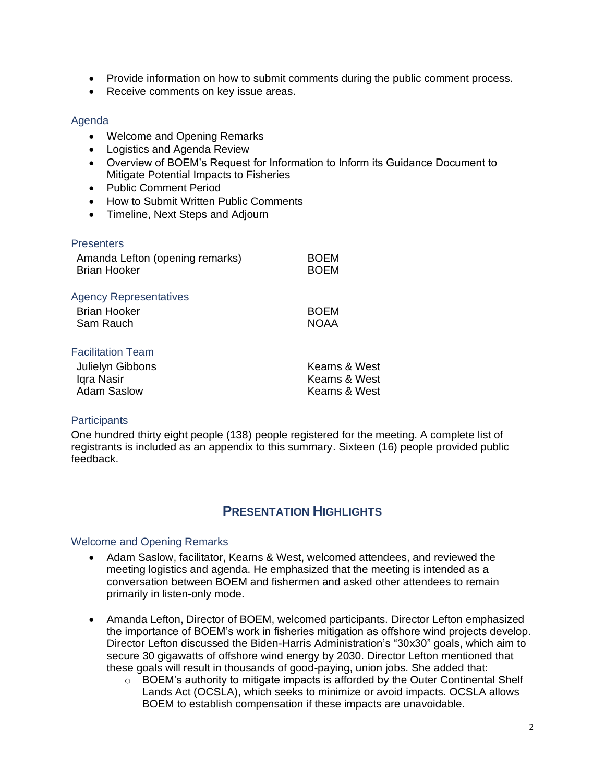- Provide information on how to submit comments during the public comment process.
- Receive comments on key issue areas.

### Agenda

- Welcome and Opening Remarks
- Logistics and Agenda Review
- Overview of BOEM's Request for Information to Inform its Guidance Document to Mitigate Potential Impacts to Fisheries
- Public Comment Period
- How to Submit Written Public Comments
- Timeline, Next Steps and Adjourn

#### **Presenters**

| Amanda Lefton (opening remarks)<br><b>Brian Hooker</b> | <b>BOEM</b><br><b>BOEM</b> |
|--------------------------------------------------------|----------------------------|
| <b>Agency Representatives</b>                          |                            |
| <b>Brian Hooker</b>                                    | <b>BOEM</b>                |
| Sam Rauch                                              | <b>NOAA</b>                |
| <b>Facilitation Team</b>                               |                            |
| Julielyn Gibbons                                       | Kearns & West              |
| Iqra Nasir                                             | Kearns & West              |
| <b>Adam Saslow</b>                                     | Kearns & West              |

## **Participants**

One hundred thirty eight people (138) people registered for the meeting. A complete list of registrants is included as an appendix to this summary. Sixteen (16) people provided public feedback.

# **PRESENTATION HIGHLIGHTS**

#### Welcome and Opening Remarks

- Adam Saslow, facilitator, Kearns & West, welcomed attendees, and reviewed the meeting logistics and agenda. He emphasized that the meeting is intended as a conversation between BOEM and fishermen and asked other attendees to remain primarily in listen-only mode.
- Amanda Lefton, Director of BOEM, welcomed participants. Director Lefton emphasized the importance of BOEM's work in fisheries mitigation as offshore wind projects develop. Director Lefton discussed the Biden-Harris Administration's "30x30" goals, which aim to secure 30 gigawatts of offshore wind energy by 2030. Director Lefton mentioned that these goals will result in thousands of good-paying, union jobs. She added that:
	- $\circ$  BOEM's authority to mitigate impacts is afforded by the Outer Continental Shelf Lands Act (OCSLA), which seeks to minimize or avoid impacts. OCSLA allows BOEM to establish compensation if these impacts are unavoidable.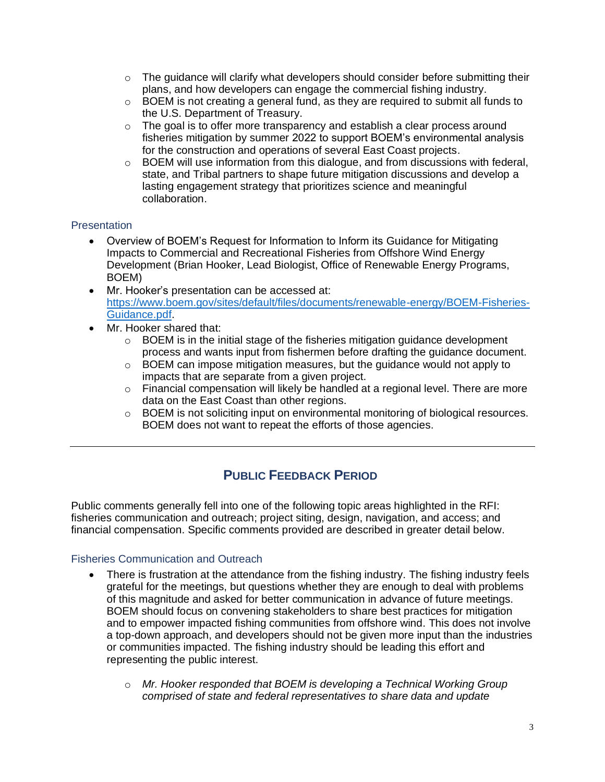- $\circ$  The guidance will clarify what developers should consider before submitting their plans, and how developers can engage the commercial fishing industry.
- $\circ$  BOEM is not creating a general fund, as they are required to submit all funds to the U.S. Department of Treasury.
- $\circ$  The goal is to offer more transparency and establish a clear process around fisheries mitigation by summer 2022 to support BOEM's environmental analysis for the construction and operations of several East Coast projects.
- $\circ$  BOEM will use information from this dialogue, and from discussions with federal, state, and Tribal partners to shape future mitigation discussions and develop a lasting engagement strategy that prioritizes science and meaningful collaboration.

## **Presentation**

- Overview of BOEM's Request for Information to Inform its Guidance for Mitigating Impacts to Commercial and Recreational Fisheries from Offshore Wind Energy Development (Brian Hooker, Lead Biologist, Office of Renewable Energy Programs, BOEM)
- Mr. Hooker's presentation can be accessed at: [https://www.boem.gov/sites/default/files/documents/renewable-energy/BOEM-Fisheries-](https://www.boem.gov/sites/default/files/documents/renewable-energy/BOEM-Fisheries-Guidance.pdf)[Guidance.pdf.](https://www.boem.gov/sites/default/files/documents/renewable-energy/BOEM-Fisheries-Guidance.pdf)
- Mr. Hooker shared that:
	- $\circ$  BOEM is in the initial stage of the fisheries mitigation guidance development process and wants input from fishermen before drafting the guidance document.
	- o BOEM can impose mitigation measures, but the guidance would not apply to impacts that are separate from a given project.
	- $\circ$  Financial compensation will likely be handled at a regional level. There are more data on the East Coast than other regions.
	- o BOEM is not soliciting input on environmental monitoring of biological resources. BOEM does not want to repeat the efforts of those agencies.

# **PUBLIC FEEDBACK PERIOD**

Public comments generally fell into one of the following topic areas highlighted in the RFI: fisheries communication and outreach; project siting, design, navigation, and access; and financial compensation. Specific comments provided are described in greater detail below.

## Fisheries Communication and Outreach

- There is frustration at the attendance from the fishing industry. The fishing industry feels grateful for the meetings, but questions whether they are enough to deal with problems of this magnitude and asked for better communication in advance of future meetings. BOEM should focus on convening stakeholders to share best practices for mitigation and to empower impacted fishing communities from offshore wind. This does not involve a top-down approach, and developers should not be given more input than the industries or communities impacted. The fishing industry should be leading this effort and representing the public interest.
	- o *Mr. Hooker responded that BOEM is developing a Technical Working Group comprised of state and federal representatives to share data and update*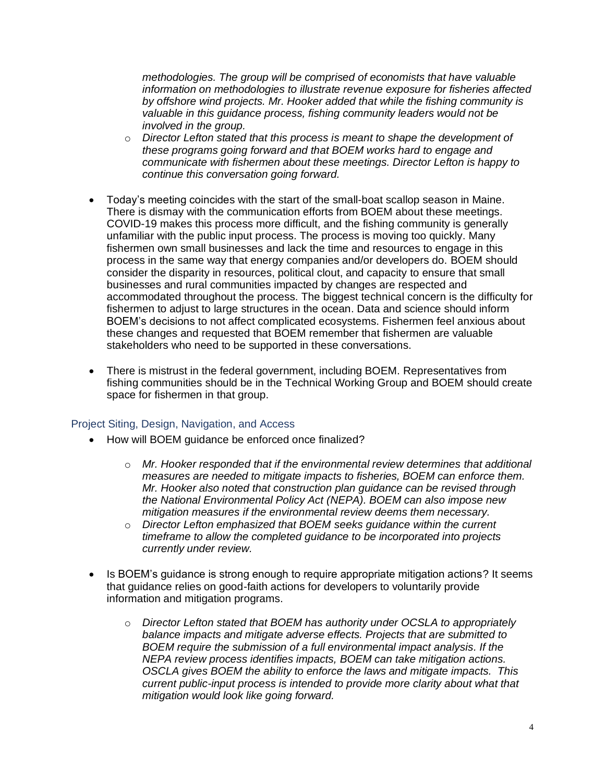*methodologies. The group will be comprised of economists that have valuable information on methodologies to illustrate revenue exposure for fisheries affected by offshore wind projects. Mr. Hooker added that while the fishing community is*  valuable in this guidance process, fishing community leaders would not be *involved in the group.* 

- o *Director Lefton stated that this process is meant to shape the development of these programs going forward and that BOEM works hard to engage and communicate with fishermen about these meetings. Director Lefton is happy to continue this conversation going forward.*
- Today's meeting coincides with the start of the small-boat scallop season in Maine. There is dismay with the communication efforts from BOEM about these meetings. COVID-19 makes this process more difficult, and the fishing community is generally unfamiliar with the public input process. The process is moving too quickly. Many fishermen own small businesses and lack the time and resources to engage in this process in the same way that energy companies and/or developers do. BOEM should consider the disparity in resources, political clout, and capacity to ensure that small businesses and rural communities impacted by changes are respected and accommodated throughout the process. The biggest technical concern is the difficulty for fishermen to adjust to large structures in the ocean. Data and science should inform BOEM's decisions to not affect complicated ecosystems. Fishermen feel anxious about these changes and requested that BOEM remember that fishermen are valuable stakeholders who need to be supported in these conversations.
- There is mistrust in the federal government, including BOEM. Representatives from fishing communities should be in the Technical Working Group and BOEM should create space for fishermen in that group.

## Project Siting, Design, Navigation, and Access

- How will BOEM guidance be enforced once finalized?
	- o *Mr. Hooker responded that if the environmental review determines that additional measures are needed to mitigate impacts to fisheries, BOEM can enforce them. Mr. Hooker also noted that construction plan guidance can be revised through the National Environmental Policy Act (NEPA). BOEM can also impose new mitigation measures if the environmental review deems them necessary.*
	- o *Director Lefton emphasized that BOEM seeks guidance within the current timeframe to allow the completed guidance to be incorporated into projects currently under review.*
- Is BOEM's guidance is strong enough to require appropriate mitigation actions? It seems that guidance relies on good-faith actions for developers to voluntarily provide information and mitigation programs.
	- o *Director Lefton stated that BOEM has authority under OCSLA to appropriately balance impacts and mitigate adverse effects. Projects that are submitted to BOEM require the submission of a full environmental impact analysis. If the NEPA review process identifies impacts, BOEM can take mitigation actions. OSCLA gives BOEM the ability to enforce the laws and mitigate impacts. This current public-input process is intended to provide more clarity about what that mitigation would look like going forward.*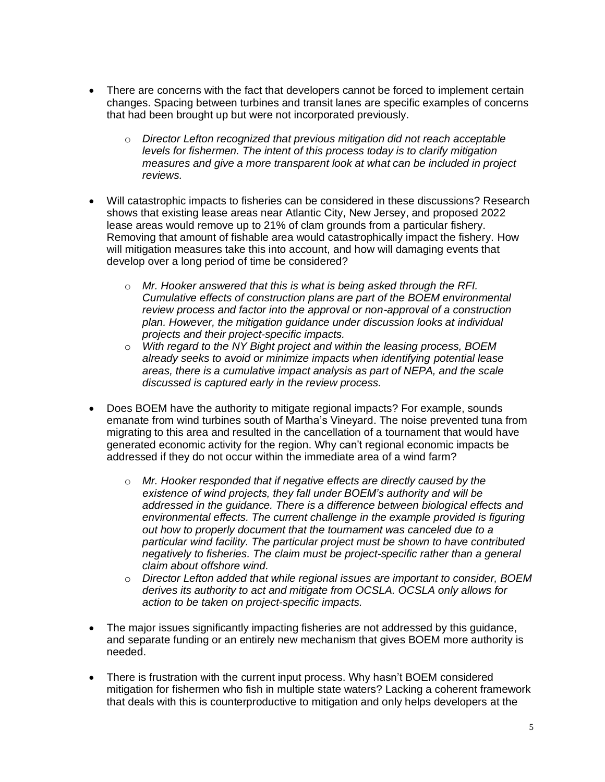- There are concerns with the fact that developers cannot be forced to implement certain changes. Spacing between turbines and transit lanes are specific examples of concerns that had been brought up but were not incorporated previously.
	- o *Director Lefton recognized that previous mitigation did not reach acceptable levels for fishermen. The intent of this process today is to clarify mitigation measures and give a more transparent look at what can be included in project reviews.*
- Will catastrophic impacts to fisheries can be considered in these discussions? Research shows that existing lease areas near Atlantic City, New Jersey, and proposed 2022 lease areas would remove up to 21% of clam grounds from a particular fishery. Removing that amount of fishable area would catastrophically impact the fishery. How will mitigation measures take this into account, and how will damaging events that develop over a long period of time be considered?
	- o *Mr. Hooker answered that this is what is being asked through the RFI. Cumulative effects of construction plans are part of the BOEM environmental review process and factor into the approval or non-approval of a construction plan. However, the mitigation guidance under discussion looks at individual projects and their project-specific impacts.*
	- o *With regard to the NY Bight project and within the leasing process, BOEM already seeks to avoid or minimize impacts when identifying potential lease areas, there is a cumulative impact analysis as part of NEPA, and the scale discussed is captured early in the review process.*
- Does BOEM have the authority to mitigate regional impacts? For example, sounds emanate from wind turbines south of Martha's Vineyard. The noise prevented tuna from migrating to this area and resulted in the cancellation of a tournament that would have generated economic activity for the region. Why can't regional economic impacts be addressed if they do not occur within the immediate area of a wind farm?
	- o *Mr. Hooker responded that if negative effects are directly caused by the existence of wind projects, they fall under BOEM's authority and will be addressed in the guidance. There is a difference between biological effects and environmental effects. The current challenge in the example provided is figuring out how to properly document that the tournament was canceled due to a particular wind facility. The particular project must be shown to have contributed negatively to fisheries. The claim must be project-specific rather than a general claim about offshore wind.*
	- o *Director Lefton added that while regional issues are important to consider, BOEM derives its authority to act and mitigate from OCSLA. OCSLA only allows for action to be taken on project-specific impacts.*
- The major issues significantly impacting fisheries are not addressed by this guidance, and separate funding or an entirely new mechanism that gives BOEM more authority is needed.
- There is frustration with the current input process. Why hasn't BOEM considered mitigation for fishermen who fish in multiple state waters? Lacking a coherent framework that deals with this is counterproductive to mitigation and only helps developers at the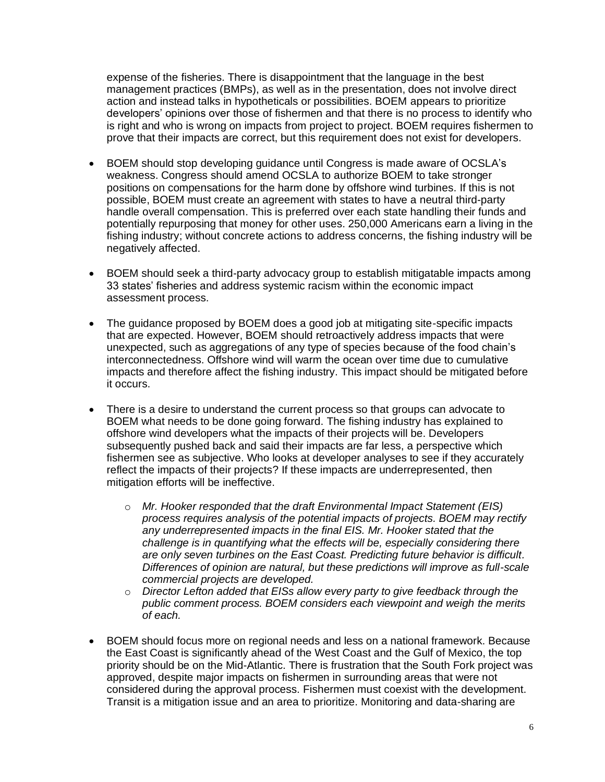expense of the fisheries. There is disappointment that the language in the best management practices (BMPs), as well as in the presentation, does not involve direct action and instead talks in hypotheticals or possibilities. BOEM appears to prioritize developers' opinions over those of fishermen and that there is no process to identify who is right and who is wrong on impacts from project to project. BOEM requires fishermen to prove that their impacts are correct, but this requirement does not exist for developers.

- BOEM should stop developing guidance until Congress is made aware of OCSLA's weakness. Congress should amend OCSLA to authorize BOEM to take stronger positions on compensations for the harm done by offshore wind turbines. If this is not possible, BOEM must create an agreement with states to have a neutral third-party handle overall compensation. This is preferred over each state handling their funds and potentially repurposing that money for other uses. 250,000 Americans earn a living in the fishing industry; without concrete actions to address concerns, the fishing industry will be negatively affected.
- BOEM should seek a third-party advocacy group to establish mitigatable impacts among 33 states' fisheries and address systemic racism within the economic impact assessment process.
- The guidance proposed by BOEM does a good job at mitigating site-specific impacts that are expected. However, BOEM should retroactively address impacts that were unexpected, such as aggregations of any type of species because of the food chain's interconnectedness. Offshore wind will warm the ocean over time due to cumulative impacts and therefore affect the fishing industry. This impact should be mitigated before it occurs.
- There is a desire to understand the current process so that groups can advocate to BOEM what needs to be done going forward. The fishing industry has explained to offshore wind developers what the impacts of their projects will be. Developers subsequently pushed back and said their impacts are far less, a perspective which fishermen see as subjective. Who looks at developer analyses to see if they accurately reflect the impacts of their projects? If these impacts are underrepresented, then mitigation efforts will be ineffective.
	- o *Mr. Hooker responded that the draft Environmental Impact Statement (EIS) process requires analysis of the potential impacts of projects. BOEM may rectify any underrepresented impacts in the final EIS. Mr. Hooker stated that the challenge is in quantifying what the effects will be, especially considering there are only seven turbines on the East Coast. Predicting future behavior is difficult. Differences of opinion are natural, but these predictions will improve as full-scale commercial projects are developed.*
	- o *Director Lefton added that EISs allow every party to give feedback through the public comment process. BOEM considers each viewpoint and weigh the merits of each.*
- BOEM should focus more on regional needs and less on a national framework. Because the East Coast is significantly ahead of the West Coast and the Gulf of Mexico, the top priority should be on the Mid-Atlantic. There is frustration that the South Fork project was approved, despite major impacts on fishermen in surrounding areas that were not considered during the approval process. Fishermen must coexist with the development. Transit is a mitigation issue and an area to prioritize. Monitoring and data-sharing are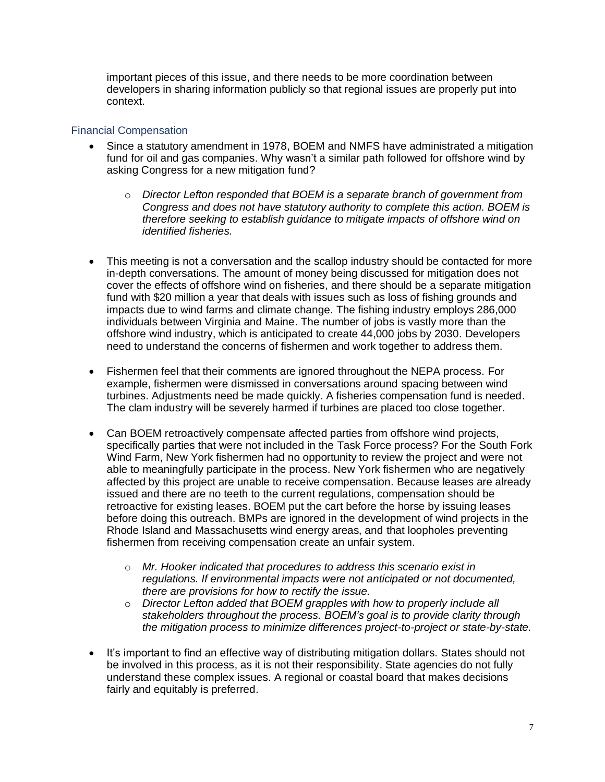important pieces of this issue, and there needs to be more coordination between developers in sharing information publicly so that regional issues are properly put into context.

#### Financial Compensation

- Since a statutory amendment in 1978, BOEM and NMFS have administrated a mitigation fund for oil and gas companies. Why wasn't a similar path followed for offshore wind by asking Congress for a new mitigation fund?
	- o *Director Lefton responded that BOEM is a separate branch of government from Congress and does not have statutory authority to complete this action. BOEM is therefore seeking to establish guidance to mitigate impacts of offshore wind on identified fisheries.*
- This meeting is not a conversation and the scallop industry should be contacted for more in-depth conversations. The amount of money being discussed for mitigation does not cover the effects of offshore wind on fisheries, and there should be a separate mitigation fund with \$20 million a year that deals with issues such as loss of fishing grounds and impacts due to wind farms and climate change. The fishing industry employs 286,000 individuals between Virginia and Maine. The number of jobs is vastly more than the offshore wind industry, which is anticipated to create 44,000 jobs by 2030. Developers need to understand the concerns of fishermen and work together to address them.
- Fishermen feel that their comments are ignored throughout the NEPA process. For example, fishermen were dismissed in conversations around spacing between wind turbines. Adjustments need be made quickly. A fisheries compensation fund is needed. The clam industry will be severely harmed if turbines are placed too close together.
- Can BOEM retroactively compensate affected parties from offshore wind projects, specifically parties that were not included in the Task Force process? For the South Fork Wind Farm, New York fishermen had no opportunity to review the project and were not able to meaningfully participate in the process. New York fishermen who are negatively affected by this project are unable to receive compensation. Because leases are already issued and there are no teeth to the current regulations, compensation should be retroactive for existing leases. BOEM put the cart before the horse by issuing leases before doing this outreach. BMPs are ignored in the development of wind projects in the Rhode Island and Massachusetts wind energy areas, and that loopholes preventing fishermen from receiving compensation create an unfair system.
	- o *Mr. Hooker indicated that procedures to address this scenario exist in regulations. If environmental impacts were not anticipated or not documented, there are provisions for how to rectify the issue.*
	- o *Director Lefton added that BOEM grapples with how to properly include all stakeholders throughout the process. BOEM's goal is to provide clarity through the mitigation process to minimize differences project-to-project or state-by-state.*
- It's important to find an effective way of distributing mitigation dollars. States should not be involved in this process, as it is not their responsibility. State agencies do not fully understand these complex issues. A regional or coastal board that makes decisions fairly and equitably is preferred.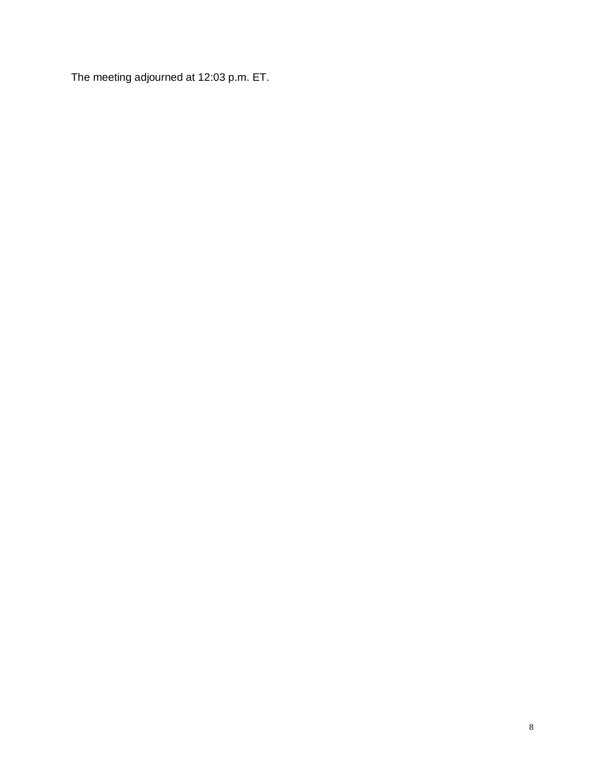The meeting adjourned at 12:03 p.m. ET.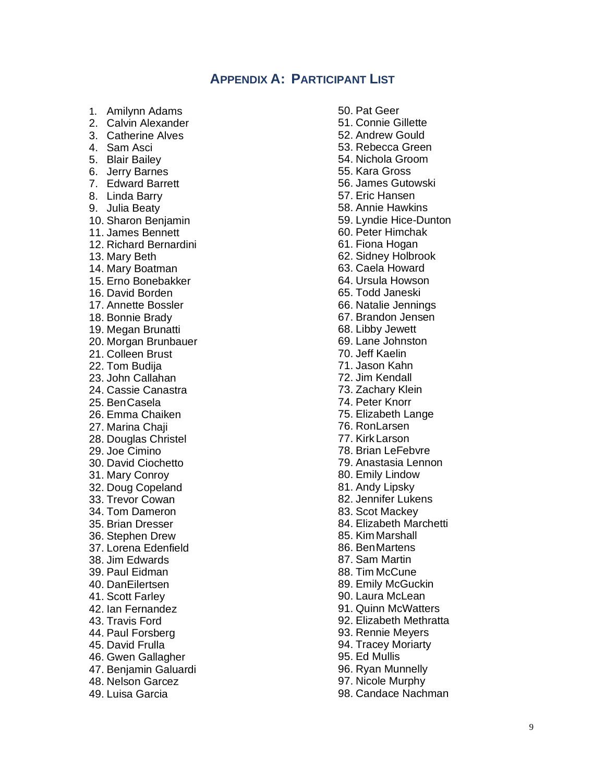# **APPENDIX A: PARTICIPANT LIST**

- 1. Amilynn Adams
- 2. Calvin Alexander
- 3. Catherine Alves
- 4. Sam Asci
- 5. Blair Bailey
- 6. Jerry Barnes
- 7. Edward Barrett
- 8. Linda Barry
- 9. Julia Beaty
- 10. Sharon Benjamin
- 11. James Bennett
- 12. Richard Bernardini
- 13. Mary Beth
- 14. Mary Boatman
- 15. Erno Bonebakker
- 16. David Borden
- 17. Annette Bossler
- 18. Bonnie Brady
- 19. Megan Brunatti
- 20. Morgan Brunbauer
- 21. Colleen Brust
- 22. Tom Budija
- 23. John Callahan
- 24. Cassie Canastra
- 25. BenCasela
- 26. Emma Chaiken
- 27. Marina Chaji
- 28. Douglas Christel
- 29. Joe Cimino
- 30. David Ciochetto
- 31. Mary Conroy
- 32. Doug Copeland
- 33. Trevor Cowan
- 34. Tom Dameron
- 35. Brian Dresser
- 36. Stephen Drew
- 37. Lorena Edenfield
- 38. Jim Edwards
- 39. Paul Eidman
- 40. DanEilertsen
- 41. Scott Farley
- 42. Ian Fernandez
- 43. Travis Ford
- 44. Paul Forsberg
- 45. David Frulla
- 46. Gwen Gallagher
- 47. Benjamin Galuardi
- 48. Nelson Garcez
- 49. Luisa Garcia
- 50. Pat Geer 51. Connie Gillette 52. Andrew Gould 53. Rebecca Green 54. Nichola Groom 55. Kara Gross 56. James Gutowski 57. Eric Hansen 58. Annie Hawkins 59. Lyndie Hice-Dunton 60. Peter Himchak 61. Fiona Hogan 62. Sidney Holbrook 63. Caela Howard 64. Ursula Howson 65. Todd Janeski 66. Natalie Jennings 67. Brandon Jensen 68. Libby Jewett 69. Lane Johnston 70. Jeff Kaelin 71. Jason Kahn 72. Jim Kendall 73. Zachary Klein 74. Peter Knorr 75. Elizabeth Lange 76. RonLarsen 77. KirkLarson 78. Brian LeFebvre 79. Anastasia Lennon 80. Emily Lindow 81. Andy Lipsky 82. Jennifer Lukens 83. Scot Mackey 84. Elizabeth Marchetti 85. Kim Marshall 86. BenMartens 87. Sam Martin 88. Tim McCune 89. Emily McGuckin 90. Laura McLean 91. Quinn McWatters 92. Elizabeth Methratta 93. Rennie Meyers 94. Tracey Moriarty
- 95. Ed Mullis
- 96. Ryan Munnelly
- 97. Nicole Murphy
- 98. Candace Nachman